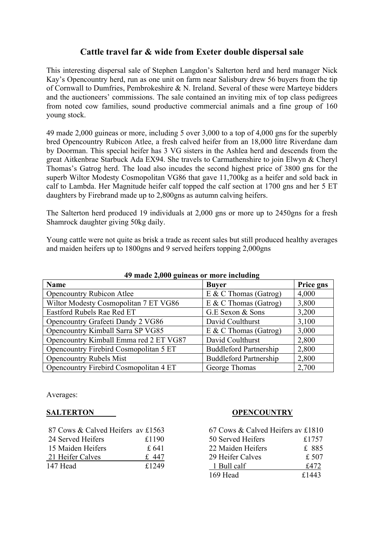## **Cattle travel far & wide from Exeter double dispersal sale**

This interesting dispersal sale of Stephen Langdon's Salterton herd and herd manager Nick Kay's Opencountry herd, run as one unit on farm near Salisbury drew 56 buyers from the tip of Cornwall to Dumfries, Pembrokeshire & N. Ireland. Several of these were Marteye bidders and the auctioneers' commissions. The sale contained an inviting mix of top class pedigrees from noted cow families, sound productive commercial animals and a fine group of 160 young stock.

49 made 2,000 guineas or more, including 5 over 3,000 to a top of 4,000 gns for the superbly bred Opencountry Rubicon Atlee, a fresh calved heifer from an 18,000 litre Riverdane dam by Doorman. This special heifer has 3 VG sisters in the Ashlea herd and descends from the great Aitkenbrae Starbuck Ada EX94. She travels to Carmathenshire to join Elwyn & Cheryl Thomas's Gatrog herd. The load also incudes the second highest price of 3800 gns for the superb Wiltor Modesty Cosmopolitan VG86 that gave 11,700kg as a heifer and sold back in calf to Lambda. Her Magnitude heifer calf topped the calf section at 1700 gns and her 5 ET daughters by Firebrand made up to 2,800gns as autumn calving heifers.

The Salterton herd produced 19 individuals at 2,000 gns or more up to 2450gns for a fresh Shamrock daughter giving 50kg daily.

Young cattle were not quite as brisk a trade as recent sales but still produced healthy averages and maiden heifers up to 1800gns and 9 served heifers topping 2,000gns

| $\tau$ ) maut 2,000 guintas of mort including |                               |           |  |  |  |
|-----------------------------------------------|-------------------------------|-----------|--|--|--|
| <b>Name</b>                                   | <b>Buver</b>                  | Price gns |  |  |  |
| <b>Opencountry Rubicon Atlee</b>              | $E \& C$ Thomas (Gatrog)      | 4,000     |  |  |  |
| Wiltor Modesty Cosmopolitan 7 ET VG86         | $E \& C$ Thomas (Gatrog)      | 3,800     |  |  |  |
| Eastford Rubels Rae Red ET                    | G.E Sexon & Sons              | 3,200     |  |  |  |
| Opencountry Grafeeti Dandy 2 VG86             | David Coulthurst              | 3,100     |  |  |  |
| Opencountry Kimball Sarra SP VG85             | $E \& C$ Thomas (Gatrog)      | 3,000     |  |  |  |
| Opencountry Kimball Emma red 2 ET VG87        | David Coulthurst              | 2,800     |  |  |  |
| Opencountry Firebird Cosmopolitan 5 ET        | <b>Buddleford Partnership</b> | 2,800     |  |  |  |
| <b>Opencountry Rubels Mist</b>                | <b>Buddleford Partnership</b> | 2,800     |  |  |  |
| Opencountry Firebird Cosmopolitan 4 ET        | George Thomas                 | 2,700     |  |  |  |

## **49 made 2,000 guineas or more including**

Averages:

| 87 Cows & Calved Heifers av £1563 |       | 67 Cows & Calved Heifers av £1810 |       |  |
|-----------------------------------|-------|-----------------------------------|-------|--|
| 24 Served Heifers                 | £1190 | 50 Served Heifers                 | £1757 |  |
| 15 Maiden Heifers                 | £ 641 | 22 Maiden Heifers                 | £ 885 |  |
| 21 Heifer Calves                  | £447  | 29 Heifer Calves                  | £ 507 |  |
| 147 Head                          | £1249 | 1 Bull calf                       | £472  |  |

## **SALTERTON OPENCOUNTRY**

| 67 Cows & Calved Heifers av £1810 |       |
|-----------------------------------|-------|
| 50 Served Heifers                 | £1757 |
| 22 Maiden Heifers                 | £ 885 |
| 29 Heifer Calves                  | £ 507 |
| 1 Bull calf                       | £472  |
| 169 Head                          | £1443 |